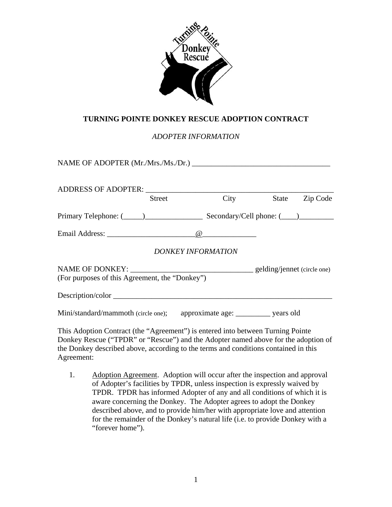

## **TURNING POINTE DONKEY RESCUE ADOPTION CONTRACT**

*ADOPTER INFORMATION* 

| NAME OF ADOPTER (Mr./Mrs./Ms./Dr.)                                                      |        |          |       |          |
|-----------------------------------------------------------------------------------------|--------|----------|-------|----------|
|                                                                                         | Street | City     | State | Zip Code |
|                                                                                         |        |          |       |          |
|                                                                                         |        | $\omega$ |       |          |
| DONKEY INFORMATION                                                                      |        |          |       |          |
| NAME OF DONKEY: _____________________<br>(For purposes of this Agreement, the "Donkey") |        |          |       |          |
|                                                                                         |        |          |       |          |
| Mini/standard/mammoth (circle one); approximate age: _________ years old                |        |          |       |          |

This Adoption Contract (the "Agreement") is entered into between Turning Pointe Donkey Rescue ("TPDR" or "Rescue") and the Adopter named above for the adoption of the Donkey described above, according to the terms and conditions contained in this Agreement:

1. Adoption Agreement. Adoption will occur after the inspection and approval of Adopter's facilities by TPDR, unless inspection is expressly waived by TPDR. TPDR has informed Adopter of any and all conditions of which it is aware concerning the Donkey. The Adopter agrees to adopt the Donkey described above, and to provide him/her with appropriate love and attention for the remainder of the Donkey's natural life (i.e. to provide Donkey with a "forever home").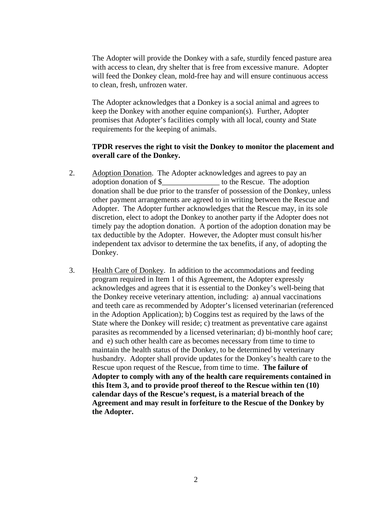The Adopter will provide the Donkey with a safe, sturdily fenced pasture area with access to clean, dry shelter that is free from excessive manure. Adopter will feed the Donkey clean, mold-free hay and will ensure continuous access to clean, fresh, unfrozen water.

The Adopter acknowledges that a Donkey is a social animal and agrees to keep the Donkey with another equine companion(s). Further, Adopter promises that Adopter's facilities comply with all local, county and State requirements for the keeping of animals.

## **TPDR reserves the right to visit the Donkey to monitor the placement and overall care of the Donkey.**

- 2. Adoption Donation. The Adopter acknowledges and agrees to pay an adoption donation of \$\_\_\_\_\_\_\_\_\_\_\_\_\_\_\_ to the Rescue. The adoption donation shall be due prior to the transfer of possession of the Donkey, unless other payment arrangements are agreed to in writing between the Rescue and Adopter. The Adopter further acknowledges that the Rescue may, in its sole discretion, elect to adopt the Donkey to another party if the Adopter does not timely pay the adoption donation. A portion of the adoption donation may be tax deductible by the Adopter. However, the Adopter must consult his/her independent tax advisor to determine the tax benefits, if any, of adopting the Donkey.
- 3. Health Care of Donkey. In addition to the accommodations and feeding program required in Item 1 of this Agreement, the Adopter expressly acknowledges and agrees that it is essential to the Donkey's well-being that the Donkey receive veterinary attention, including: a) annual vaccinations and teeth care as recommended by Adopter's licensed veterinarian (referenced in the Adoption Application); b) Coggins test as required by the laws of the State where the Donkey will reside; c) treatment as preventative care against parasites as recommended by a licensed veterinarian; d) bi-monthly hoof care; and e) such other health care as becomes necessary from time to time to maintain the health status of the Donkey, to be determined by veterinary husbandry. Adopter shall provide updates for the Donkey's health care to the Rescue upon request of the Rescue, from time to time. **The failure of Adopter to comply with any of the health care requirements contained in this Item 3, and to provide proof thereof to the Rescue within ten (10) calendar days of the Rescue's request, is a material breach of the Agreement and may result in forfeiture to the Rescue of the Donkey by the Adopter.**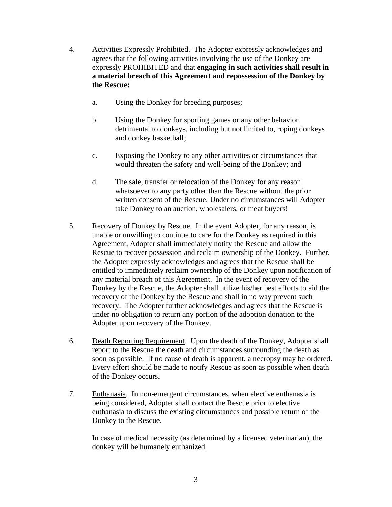- 4. Activities Expressly Prohibited. The Adopter expressly acknowledges and agrees that the following activities involving the use of the Donkey are expressly PROHIBITED and that **engaging in such activities shall result in a material breach of this Agreement and repossession of the Donkey by the Rescue:**
	- a. Using the Donkey for breeding purposes;
	- b. Using the Donkey for sporting games or any other behavior detrimental to donkeys, including but not limited to, roping donkeys and donkey basketball;
	- c. Exposing the Donkey to any other activities or circumstances that would threaten the safety and well-being of the Donkey; and
	- d. The sale, transfer or relocation of the Donkey for any reason whatsoever to any party other than the Rescue without the prior written consent of the Rescue. Under no circumstances will Adopter take Donkey to an auction, wholesalers, or meat buyers!
- 5. Recovery of Donkey by Rescue. In the event Adopter, for any reason, is unable or unwilling to continue to care for the Donkey as required in this Agreement, Adopter shall immediately notify the Rescue and allow the Rescue to recover possession and reclaim ownership of the Donkey. Further, the Adopter expressly acknowledges and agrees that the Rescue shall be entitled to immediately reclaim ownership of the Donkey upon notification of any material breach of this Agreement. In the event of recovery of the Donkey by the Rescue, the Adopter shall utilize his/her best efforts to aid the recovery of the Donkey by the Rescue and shall in no way prevent such recovery. The Adopter further acknowledges and agrees that the Rescue is under no obligation to return any portion of the adoption donation to the Adopter upon recovery of the Donkey.
- 6. Death Reporting Requirement. Upon the death of the Donkey, Adopter shall report to the Rescue the death and circumstances surrounding the death as soon as possible. If no cause of death is apparent, a necropsy may be ordered. Every effort should be made to notify Rescue as soon as possible when death of the Donkey occurs.
- 7. Euthanasia. In non-emergent circumstances, when elective euthanasia is being considered, Adopter shall contact the Rescue prior to elective euthanasia to discuss the existing circumstances and possible return of the Donkey to the Rescue.

In case of medical necessity (as determined by a licensed veterinarian), the donkey will be humanely euthanized.